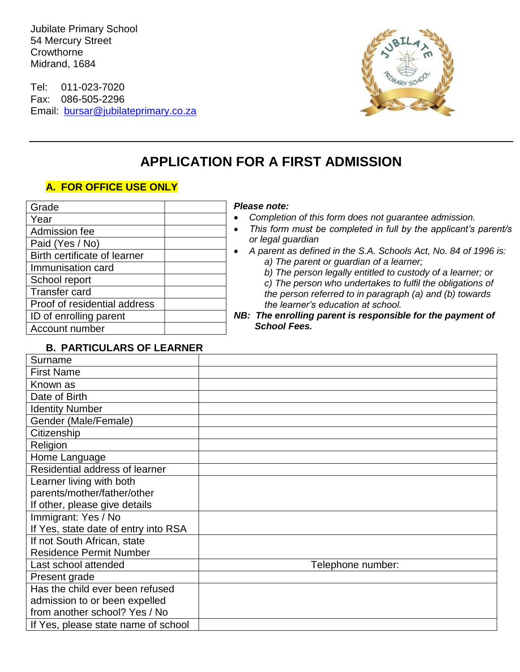Jubilate Primary School 54 Mercury Street **Crowthorne** Midrand, 1684

Tel: 011-023-7020 Fax: 086-505-2296 Email: [bursar@jubilateprimary.co.za](mailto:bursar@jubilateprimary.co.za)



# **APPLICATION FOR A FIRST ADMISSION**

## **A. FOR OFFICE USE ONLY**

| Grade                        |  |
|------------------------------|--|
| Year                         |  |
| Admission fee                |  |
| Paid (Yes / No)              |  |
| Birth certificate of learner |  |
| Immunisation card            |  |
| School report                |  |
| <b>Transfer card</b>         |  |
| Proof of residential address |  |
| ID of enrolling parent       |  |
| Account number               |  |

#### *Pease note:*

- *Completion of this form does not guarantee admission.*
- *This form must be completed in full by the applicant's parent/s or legal guardian*
	- *A parent as defined in the S.A. Schools Act, No. 84 of 1996 is: a) The parent or guardian of a learner;*
		- *b) The person legally entitled to custody of a learner; or c) The person who undertakes to fulfil the obligations of the person referred to in paragraph (a) and (b) towards the learner's education at school.*
- *NB: The enrolling parent is responsible for the payment of School Fees.*

#### **B. PARTICULARS OF LEARNER**

| Surname                              |                   |
|--------------------------------------|-------------------|
| <b>First Name</b>                    |                   |
| Known as                             |                   |
| Date of Birth                        |                   |
| <b>Identity Number</b>               |                   |
| Gender (Male/Female)                 |                   |
| Citizenship                          |                   |
| Religion                             |                   |
| Home Language                        |                   |
| Residential address of learner       |                   |
| Learner living with both             |                   |
| parents/mother/father/other          |                   |
| If other, please give details        |                   |
| Immigrant: Yes / No                  |                   |
| If Yes, state date of entry into RSA |                   |
| If not South African, state          |                   |
| <b>Residence Permit Number</b>       |                   |
| Last school attended                 | Telephone number: |
| Present grade                        |                   |
| Has the child ever been refused      |                   |
| admission to or been expelled        |                   |
| from another school? Yes / No        |                   |
| If Yes, please state name of school  |                   |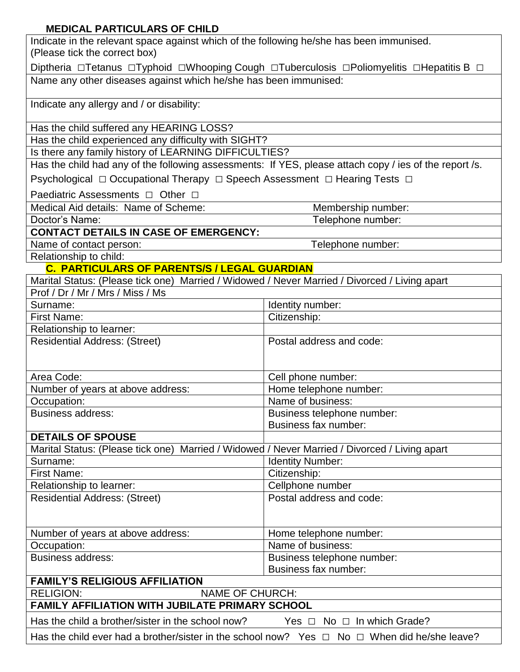## **MEDICAL PARTICULARS OF CHILD**

| Indicate in the relevant space against which of the following he/she has been immunised.<br>(Please tick the correct box) |                                      |  |
|---------------------------------------------------------------------------------------------------------------------------|--------------------------------------|--|
| Diptheria □Tetanus □Typhoid □Whooping Cough □Tuberculosis □Poliomyelitis □Hepatitis B □                                   |                                      |  |
| Name any other diseases against which he/she has been immunised:                                                          |                                      |  |
| Indicate any allergy and / or disability:                                                                                 |                                      |  |
| Has the child suffered any HEARING LOSS?                                                                                  |                                      |  |
| Has the child experienced any difficulty with SIGHT?                                                                      |                                      |  |
| Is there any family history of LEARNING DIFFICULTIES?                                                                     |                                      |  |
| Has the child had any of the following assessments: If YES, please attach copy / ies of the report /s.                    |                                      |  |
| Psychological □ Occupational Therapy □ Speech Assessment □ Hearing Tests □                                                |                                      |  |
| Paediatric Assessments □ Other □                                                                                          |                                      |  |
| Medical Aid details: Name of Scheme:                                                                                      | Membership number:                   |  |
| Doctor's Name:                                                                                                            | Telephone number:                    |  |
| <b>CONTACT DETAILS IN CASE OF EMERGENCY:</b>                                                                              |                                      |  |
| Name of contact person:                                                                                                   | Telephone number:                    |  |
| Relationship to child:                                                                                                    |                                      |  |
| C. PARTICULARS OF PARENTS/S / LEGAL GUARDIAN                                                                              |                                      |  |
| Marital Status: (Please tick one) Married / Widowed / Never Married / Divorced / Living apart                             |                                      |  |
| Prof / Dr / Mr / Mrs / Miss / Ms                                                                                          |                                      |  |
| Surname:                                                                                                                  | Identity number:                     |  |
| <b>First Name:</b>                                                                                                        | Citizenship:                         |  |
| Relationship to learner:                                                                                                  |                                      |  |
| <b>Residential Address: (Street)</b>                                                                                      | Postal address and code:             |  |
|                                                                                                                           |                                      |  |
| Area Code:                                                                                                                | Cell phone number:                   |  |
| Number of years at above address:                                                                                         | Home telephone number:               |  |
| Occupation:                                                                                                               | Name of business:                    |  |
| <b>Business address:</b>                                                                                                  | Business telephone number:           |  |
|                                                                                                                           | Business fax number:                 |  |
| <b>DETAILS OF SPOUSE</b>                                                                                                  |                                      |  |
| Marital Status: (Please tick one) Married / Widowed / Never Married / Divorced / Living apart                             |                                      |  |
| Surname:                                                                                                                  | <b>Identity Number:</b>              |  |
| First Name:                                                                                                               | Citizenship:                         |  |
| Relationship to learner:                                                                                                  | Cellphone number                     |  |
| <b>Residential Address: (Street)</b>                                                                                      | Postal address and code:             |  |
|                                                                                                                           |                                      |  |
| Number of years at above address:                                                                                         | Home telephone number:               |  |
| Occupation:                                                                                                               | Name of business:                    |  |
| <b>Business address:</b>                                                                                                  | Business telephone number:           |  |
| Business fax number:                                                                                                      |                                      |  |
| <b>FAMILY'S RELIGIOUS AFFILIATION</b>                                                                                     |                                      |  |
| <b>RELIGION:</b><br><b>NAME OF CHURCH:</b>                                                                                |                                      |  |
| FAMILY AFFILIATION WITH JUBILATE PRIMARY SCHOOL                                                                           |                                      |  |
| Has the child a brother/sister in the school now?                                                                         | Yes $\Box$ No $\Box$ In which Grade? |  |
| Has the child ever had a brother/sister in the school now? Yes $\Box$ No $\Box$ When did he/she leave?                    |                                      |  |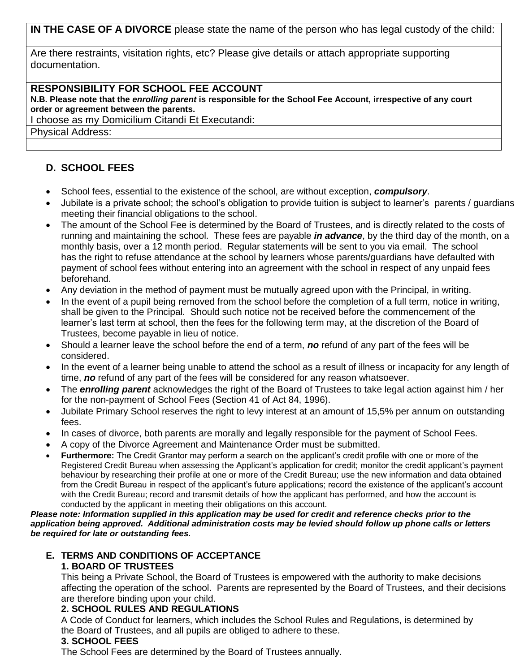**IN THE CASE OF A DIVORCE** please state the name of the person who has legal custody of the child:

Are there restraints, visitation rights, etc? Please give details or attach appropriate supporting documentation.

#### **RESPONSIBILITY FOR SCHOOL FEE ACCOUNT**

**N.B. Please note that the** *enrolling parent* **is responsible for the School Fee Account, irrespective of any court order or agreement between the parents.**

I choose as my Domicilium Citandi Et Executandi:

Physical Address:

## **D. SCHOOL FEES**

- School fees, essential to the existence of the school, are without exception, *compulsory*.
- Jubilate is a private school; the school's obligation to provide tuition is subject to learner's parents / guardians meeting their financial obligations to the school.
- The amount of the School Fee is determined by the Board of Trustees, and is directly related to the costs of running and maintaining the school. These fees are payable *in advance*, by the third day of the month, on a monthly basis, over a 12 month period. Regular statements will be sent to you via email. The school has the right to refuse attendance at the school by learners whose parents/guardians have defaulted with payment of school fees without entering into an agreement with the school in respect of any unpaid fees beforehand.
- Any deviation in the method of payment must be mutually agreed upon with the Principal, in writing.
- In the event of a pupil being removed from the school before the completion of a full term, notice in writing, shall be given to the Principal. Should such notice not be received before the commencement of the learner's last term at school, then the fees for the following term may, at the discretion of the Board of Trustees, become payable in lieu of notice.
- Should a learner leave the school before the end of a term, *no* refund of any part of the fees will be considered.
- In the event of a learner being unable to attend the school as a result of illness or incapacity for any length of time, *no* refund of any part of the fees will be considered for any reason whatsoever.
- The *enrolling parent* acknowledges the right of the Board of Trustees to take legal action against him / her for the non-payment of School Fees (Section 41 of Act 84, 1996).
- Jubilate Primary School reserves the right to levy interest at an amount of 15,5% per annum on outstanding fees.
- In cases of divorce, both parents are morally and legally responsible for the payment of School Fees.
- A copy of the Divorce Agreement and Maintenance Order must be submitted.
- **Furthermore:** The Credit Grantor may perform a search on the applicant's credit profile with one or more of the Registered Credit Bureau when assessing the Applicant's application for credit; monitor the credit applicant's payment behaviour by researching their profile at one or more of the Credit Bureau; use the new information and data obtained from the Credit Bureau in respect of the applicant's future applications; record the existence of the applicant's account with the Credit Bureau; record and transmit details of how the applicant has performed, and how the account is conducted by the applicant in meeting their obligations on this account.

*Please note: Information supplied in this application may be used for credit and reference checks prior to the application being approved. Additional administration costs may be levied should follow up phone calls or letters be required for late or outstanding fees.*

#### **E. TERMS AND CONDITIONS OF ACCEPTANCE 1. BOARD OF TRUSTEES**

This being a Private School, the Board of Trustees is empowered with the authority to make decisions affecting the operation of the school. Parents are represented by the Board of Trustees, and their decisions are therefore binding upon your child.

#### **2. SCHOOL RULES AND REGULATIONS**

A Code of Conduct for learners, which includes the School Rules and Regulations, is determined by the Board of Trustees, and all pupils are obliged to adhere to these.

#### **3. SCHOOL FEES**

The School Fees are determined by the Board of Trustees annually.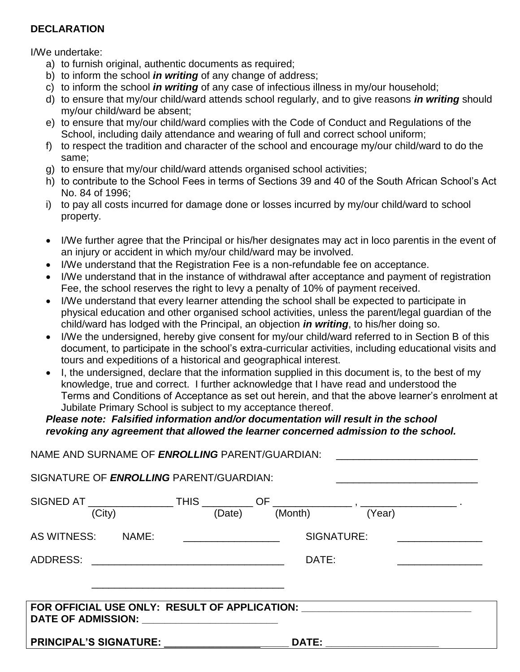### **DECLARATION**

I/We undertake:

- a) to furnish original, authentic documents as required;
- b) to inform the school *in writing* of any change of address;
- c) to inform the school *in writing* of any case of infectious illness in my/our household;
- d) to ensure that my/our child/ward attends school regularly, and to give reasons *in writing* should my/our child/ward be absent;
- e) to ensure that my/our child/ward complies with the Code of Conduct and Regulations of the School, including daily attendance and wearing of full and correct school uniform;
- f) to respect the tradition and character of the school and encourage my/our child/ward to do the same;
- g) to ensure that my/our child/ward attends organised school activities;
- h) to contribute to the School Fees in terms of Sections 39 and 40 of the South African School's Act No. 84 of 1996;
- i) to pay all costs incurred for damage done or losses incurred by my/our child/ward to school property.
- I/We further agree that the Principal or his/her designates may act in loco parentis in the event of an injury or accident in which my/our child/ward may be involved.
- I/We understand that the Registration Fee is a non-refundable fee on acceptance.
- I/We understand that in the instance of withdrawal after acceptance and payment of registration Fee, the school reserves the right to levy a penalty of 10% of payment received.
- I/We understand that every learner attending the school shall be expected to participate in physical education and other organised school activities, unless the parent/legal guardian of the child/ward has lodged with the Principal, an objection *in writing*, to his/her doing so.
- I/We the undersigned, hereby give consent for my/our child/ward referred to in Section B of this document, to participate in the school's extra-curricular activities, including educational visits and tours and expeditions of a historical and geographical interest.
- I, the undersigned, declare that the information supplied in this document is, to the best of my knowledge, true and correct. I further acknowledge that I have read and understood the Terms and Conditions of Acceptance as set out herein, and that the above learner's enrolment at Jubilate Primary School is subject to my acceptance thereof.

## *Please note: Falsified information and/or documentation will result in the school revoking any agreement that allowed the learner concerned admission to the school.*

| NAME AND SURNAME OF ENROLLING PARENT/GUARDIAN:                                                                                      |  |              |            | <u> 1980 - Jan Samuel Barbara, margaret e</u> |
|-------------------------------------------------------------------------------------------------------------------------------------|--|--------------|------------|-----------------------------------------------|
| SIGNATURE OF ENROLLING PARENT/GUARDIAN:                                                                                             |  |              |            |                                               |
| SIGNED AT $\underbrace{\hspace{2cm}}$ THIS $\underbrace{\hspace{2cm}}$ OF $\underbrace{\hspace{2cm}}$ (Month) $\hspace{2cm}$ (Year) |  |              |            |                                               |
| AS WITNESS: NAME:                                                                                                                   |  |              | SIGNATURE: |                                               |
|                                                                                                                                     |  | DATE:        |            |                                               |
|                                                                                                                                     |  |              |            |                                               |
| FOR OFFICIAL USE ONLY: RESULT OF APPLICATION: __________________________________<br>DATE OF ADMISSION: _______________________      |  |              |            |                                               |
| <b>PRINCIPAL'S SIGNATURE:</b>                                                                                                       |  | <b>DATE:</b> |            |                                               |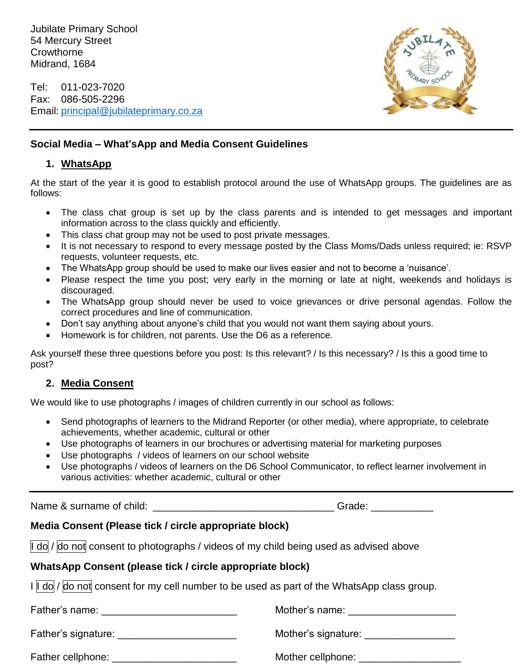Jubilate Primary School 54 Mercury Street **Crowthorne** Midrand, 1684

Tel: 011-023-7020 Fax: 086-505-2296 Email: [principal@jubilateprimary.co.za](mailto:principal@jubilateprimary.co.za)



## **Social Media – What'sApp and Media Consent Guidelines**

#### **1. WhatsApp**

At the start of the year it is good to establish protocol around the use of WhatsApp groups. The guidelines are as follows:

- The class chat group is set up by the class parents and is intended to get messages and important information across to the class quickly and efficiently.
- This class chat group may not be used to post private messages.
- It is not necessary to respond to every message posted by the Class Moms/Dads unless required; ie: RSVP requests, volunteer requests, etc.
- The WhatsApp group should be used to make our lives easier and not to become a 'nuisance'.
- Please respect the time you post; very early in the morning or late at night, weekends and holidays is discouraged.
- The WhatsApp group should never be used to voice grievances or drive personal agendas. Follow the correct procedures and line of communication.
- Don't say anything about anyone's child that you would not want them saying about yours.
- Homework is for children, not parents. Use the D6 as a reference.

Ask yourself these three questions before you post: Is this relevant? / Is this necessary? / Is this a good time to post?

#### **2. Media Consent**

We would like to use photographs / images of children currently in our school as follows:

- Send photographs of learners to the Midrand Reporter (or other media), where appropriate, to celebrate achievements, whether academic, cultural or other
- Use photographs of learners in our brochures or advertising material for marketing purposes
- Use photographs / videos of learners on our school website
- Use photographs / videos of learners on the D6 School Communicator, to reflect learner involvement in various activities: whether academic, cultural or other

Name & surname of child:  $\blacksquare$ 

## **Media Consent (Please tick / circle appropriate block)**

 $\parallel$  do / do not consent to photographs / videos of my child being used as advised above

#### **WhatsApp Consent (please tick / circle appropriate block)**

I I do / do not consent for my cell number to be used as part of the WhatsApp class group.

Father's name: etc. The state of the state of Mother's name:  $\blacksquare$ 

Father's signature: \_\_\_\_\_\_\_\_\_\_\_\_\_\_\_\_\_\_\_\_\_ Mother's signature: \_\_\_\_\_\_\_\_\_\_\_\_\_\_\_\_

Father cellphone: \_\_\_\_\_\_\_\_\_\_\_\_\_\_\_\_\_\_\_\_\_\_ Mother cellphone: \_\_\_\_\_\_\_\_\_\_\_\_\_\_\_\_\_\_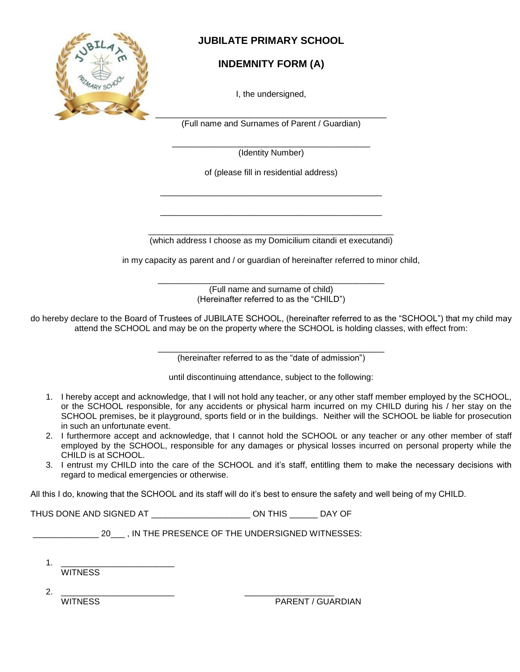

## **JUBILATE PRIMARY SCHOOL**

## **INDEMNITY FORM (A)**

I, the undersigned,

(Full name and Surnames of Parent / Guardian)

\_\_\_\_\_\_\_\_\_\_\_\_\_\_\_\_\_\_\_\_\_\_\_\_\_\_\_\_\_\_\_\_\_\_\_\_\_\_\_\_\_\_ (Identity Number)

of (please fill in residential address)

\_\_\_\_\_\_\_\_\_\_\_\_\_\_\_\_\_\_\_\_\_\_\_\_\_\_\_\_\_\_\_\_\_\_\_\_\_\_\_\_\_\_\_\_\_\_\_

\_\_\_\_\_\_\_\_\_\_\_\_\_\_\_\_\_\_\_\_\_\_\_\_\_\_\_\_\_\_\_\_\_\_\_\_\_\_\_\_\_\_\_\_\_\_\_

\_\_\_\_\_\_\_\_\_\_\_\_\_\_\_\_\_\_\_\_\_\_\_\_\_\_\_\_\_\_\_\_\_\_\_\_\_\_\_\_\_\_\_\_\_\_\_\_\_\_\_\_ (which address I choose as my Domicilium citandi et executandi)

in my capacity as parent and / or guardian of hereinafter referred to minor child,

\_\_\_\_\_\_\_\_\_\_\_\_\_\_\_\_\_\_\_\_\_\_\_\_\_\_\_\_\_\_\_\_\_\_\_\_\_\_\_\_\_\_\_\_\_\_\_\_ (Full name and surname of child) (Hereinafter referred to as the "CHILD")

do hereby declare to the Board of Trustees of JUBILATE SCHOOL, (hereinafter referred to as the "SCHOOL") that my child may attend the SCHOOL and may be on the property where the SCHOOL is holding classes, with effect from:

> \_\_\_\_\_\_\_\_\_\_\_\_\_\_\_\_\_\_\_\_\_\_\_\_\_\_\_\_\_\_\_\_\_\_\_\_\_\_\_\_\_\_\_\_\_\_\_\_ (hereinafter referred to as the "date of admission")

until discontinuing attendance, subject to the following:

- 1. I hereby accept and acknowledge, that I will not hold any teacher, or any other staff member employed by the SCHOOL, or the SCHOOL responsible, for any accidents or physical harm incurred on my CHILD during his / her stay on the SCHOOL premises, be it playground, sports field or in the buildings. Neither will the SCHOOL be liable for prosecution in such an unfortunate event.
- 2. I furthermore accept and acknowledge, that I cannot hold the SCHOOL or any teacher or any other member of staff employed by the SCHOOL, responsible for any damages or physical losses incurred on personal property while the CHILD is at SCHOOL.
- 3. I entrust my CHILD into the care of the SCHOOL and it's staff, entitling them to make the necessary decisions with regard to medical emergencies or otherwise.

All this I do, knowing that the SCHOOL and its staff will do it's best to ensure the safety and well being of my CHILD.

THUS DONE AND SIGNED AT \_\_\_\_\_\_\_\_\_\_\_\_\_\_\_\_\_\_\_\_\_ ON THIS \_\_\_\_\_\_ DAY OF

20 . IN THE PRESENCE OF THE UNDERSIGNED WITNESSES:

1. <u>\_\_\_\_\_\_\_\_\_\_\_\_\_\_\_\_\_\_\_\_\_\_\_\_\_\_\_\_</u> **WITNESS** 

2. \_\_\_\_\_\_\_\_\_\_\_\_\_\_\_\_\_\_\_\_\_\_\_\_ \_\_\_\_\_\_\_\_\_\_\_\_\_\_\_\_\_\_\_

WITNESS **PARENT / GUARDIAN**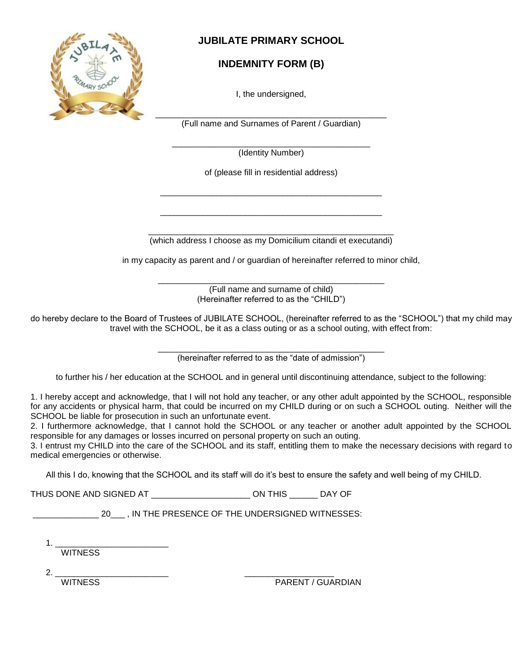

## **JUBILATE PRIMARY SCHOOL**

## **INDEMNITY FORM (B)**

I, the undersigned,

\_\_\_\_\_\_\_\_\_\_\_\_\_\_\_\_\_\_\_\_\_\_\_\_\_\_\_\_\_\_\_\_\_\_\_\_\_\_\_\_\_\_\_\_\_\_\_\_\_ (Full name and Surnames of Parent / Guardian)

\_\_\_\_\_\_\_\_\_\_\_\_\_\_\_\_\_\_\_\_\_\_\_\_\_\_\_\_\_\_\_\_\_\_\_\_\_\_\_\_\_\_ (Identity Number)

of (please fill in residential address)

\_\_\_\_\_\_\_\_\_\_\_\_\_\_\_\_\_\_\_\_\_\_\_\_\_\_\_\_\_\_\_\_\_\_\_\_\_\_\_\_\_\_\_\_\_\_\_

\_\_\_\_\_\_\_\_\_\_\_\_\_\_\_\_\_\_\_\_\_\_\_\_\_\_\_\_\_\_\_\_\_\_\_\_\_\_\_\_\_\_\_\_\_\_\_

\_\_\_\_\_\_\_\_\_\_\_\_\_\_\_\_\_\_\_\_\_\_\_\_\_\_\_\_\_\_\_\_\_\_\_\_\_\_\_\_\_\_\_\_\_\_\_\_\_\_\_\_ (which address I choose as my Domicilium citandi et executandi)

in my capacity as parent and / or guardian of hereinafter referred to minor child,

\_\_\_\_\_\_\_\_\_\_\_\_\_\_\_\_\_\_\_\_\_\_\_\_\_\_\_\_\_\_\_\_\_\_\_\_\_\_\_\_\_\_\_\_\_\_\_\_ (Full name and surname of child) (Hereinafter referred to as the "CHILD")

do hereby declare to the Board of Trustees of JUBILATE SCHOOL, (hereinafter referred to as the "SCHOOL") that my child may travel with the SCHOOL, be it as a class outing or as a school outing, with effect from:

> \_\_\_\_\_\_\_\_\_\_\_\_\_\_\_\_\_\_\_\_\_\_\_\_\_\_\_\_\_\_\_\_\_\_\_\_\_\_\_\_\_\_\_\_\_\_\_\_ (hereinafter referred to as the "date of admission")

to further his / her education at the SCHOOL and in general until discontinuing attendance, subject to the following:

1. I hereby accept and acknowledge, that I will not hold any teacher, or any other adult appointed by the SCHOOL, responsible for any accidents or physical harm, that could be incurred on my CHILD during or on such a SCHOOL outing. Neither will the SCHOOL be liable for prosecution in such an unfortunate event.

2. I furthermore acknowledge, that I cannot hold the SCHOOL or any teacher or another adult appointed by the SCHOOL responsible for any damages or losses incurred on personal property on such an outing.

3. I entrust my CHILD into the care of the SCHOOL and its staff, entitling them to make the necessary decisions with regard to medical emergencies or otherwise.

All this I do, knowing that the SCHOOL and its staff will do it's best to ensure the safety and well being of my CHILD.

THUS DONE AND SIGNED AT \_\_\_\_\_\_\_\_\_\_\_\_\_\_\_\_\_\_\_\_\_ ON THIS \_\_\_\_\_\_ DAY OF

\_\_\_\_\_\_\_\_\_\_\_\_\_\_ 20\_\_\_ , IN THE PRESENCE OF THE UNDERSIGNED WITNESSES:

1. \_\_\_\_\_\_\_\_\_\_\_\_\_\_\_\_\_\_\_\_\_\_\_\_ **WITNESS** 

2. \_\_\_\_\_\_\_\_\_\_\_\_\_\_\_\_\_\_\_\_\_\_\_\_ \_\_\_\_\_\_\_\_\_\_\_\_\_\_\_\_\_\_\_

WITNESS WITNESS PARENT / GUARDIAN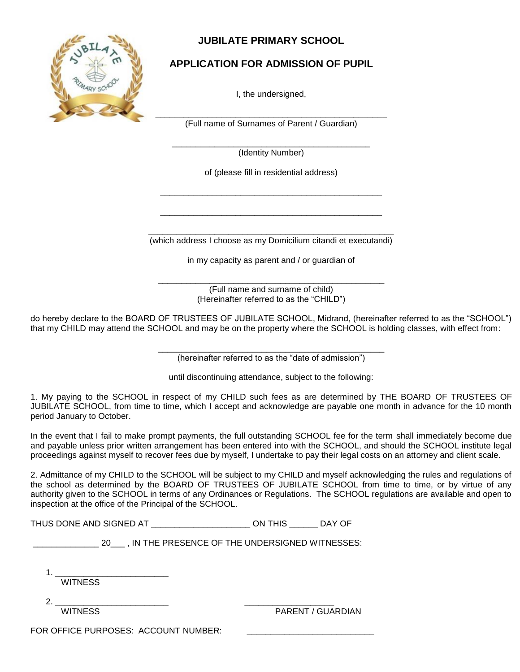

## **JUBILATE PRIMARY SCHOOL**

## **APPLICATION FOR ADMISSION OF PUPIL**

I, the undersigned,

\_\_\_\_\_\_\_\_\_\_\_\_\_\_\_\_\_\_\_\_\_\_\_\_\_\_\_\_\_\_\_\_\_\_\_\_\_\_\_\_\_\_\_\_\_\_\_\_\_ (Full name of Surnames of Parent / Guardian)

\_\_\_\_\_\_\_\_\_\_\_\_\_\_\_\_\_\_\_\_\_\_\_\_\_\_\_\_\_\_\_\_\_\_\_\_\_\_\_\_\_\_ (Identity Number)

of (please fill in residential address)

\_\_\_\_\_\_\_\_\_\_\_\_\_\_\_\_\_\_\_\_\_\_\_\_\_\_\_\_\_\_\_\_\_\_\_\_\_\_\_\_\_\_\_\_\_\_\_

\_\_\_\_\_\_\_\_\_\_\_\_\_\_\_\_\_\_\_\_\_\_\_\_\_\_\_\_\_\_\_\_\_\_\_\_\_\_\_\_\_\_\_\_\_\_\_

\_\_\_\_\_\_\_\_\_\_\_\_\_\_\_\_\_\_\_\_\_\_\_\_\_\_\_\_\_\_\_\_\_\_\_\_\_\_\_\_\_\_\_\_\_\_\_\_\_\_\_\_ (which address I choose as my Domicilium citandi et executandi)

in my capacity as parent and / or guardian of

\_\_\_\_\_\_\_\_\_\_\_\_\_\_\_\_\_\_\_\_\_\_\_\_\_\_\_\_\_\_\_\_\_\_\_\_\_\_\_\_\_\_\_\_\_\_\_\_ (Full name and surname of child) (Hereinafter referred to as the "CHILD")

do hereby declare to the BOARD OF TRUSTEES OF JUBILATE SCHOOL, Midrand, (hereinafter referred to as the "SCHOOL") that my CHILD may attend the SCHOOL and may be on the property where the SCHOOL is holding classes, with effect from:

> \_\_\_\_\_\_\_\_\_\_\_\_\_\_\_\_\_\_\_\_\_\_\_\_\_\_\_\_\_\_\_\_\_\_\_\_\_\_\_\_\_\_\_\_\_\_\_\_ (hereinafter referred to as the "date of admission")

until discontinuing attendance, subject to the following:

1. My paying to the SCHOOL in respect of my CHILD such fees as are determined by THE BOARD OF TRUSTEES OF JUBILATE SCHOOL, from time to time, which I accept and acknowledge are payable one month in advance for the 10 month period January to October.

In the event that I fail to make prompt payments, the full outstanding SCHOOL fee for the term shall immediately become due and payable unless prior written arrangement has been entered into with the SCHOOL, and should the SCHOOL institute legal proceedings against myself to recover fees due by myself, I undertake to pay their legal costs on an attorney and client scale.

2. Admittance of my CHILD to the SCHOOL will be subject to my CHILD and myself acknowledging the rules and regulations of the school as determined by the BOARD OF TRUSTEES OF JUBILATE SCHOOL from time to time, or by virtue of any authority given to the SCHOOL in terms of any Ordinances or Regulations. The SCHOOL regulations are available and open to inspection at the office of the Principal of the SCHOOL.

| THUS DONE AND SIGNED AT | <b>ON THIS</b> | DAY OF |
|-------------------------|----------------|--------|
|-------------------------|----------------|--------|

|  | , IN THE PRESENCE OF THE UNDERSIGNED WITNESSES: |
|--|-------------------------------------------------|
|  |                                                 |

1. \_\_\_\_\_\_\_\_\_\_\_\_\_\_\_\_\_\_\_\_\_\_\_\_

**WITNESS** 

2. \_\_\_\_\_\_\_\_\_\_\_\_\_\_\_\_\_\_\_\_\_\_\_\_ \_\_\_\_\_\_\_\_\_\_\_\_\_\_\_\_\_\_\_

WITNESS **PARENT / GUARDIAN** 

FOR OFFICE PURPOSES: ACCOUNT NUMBER: